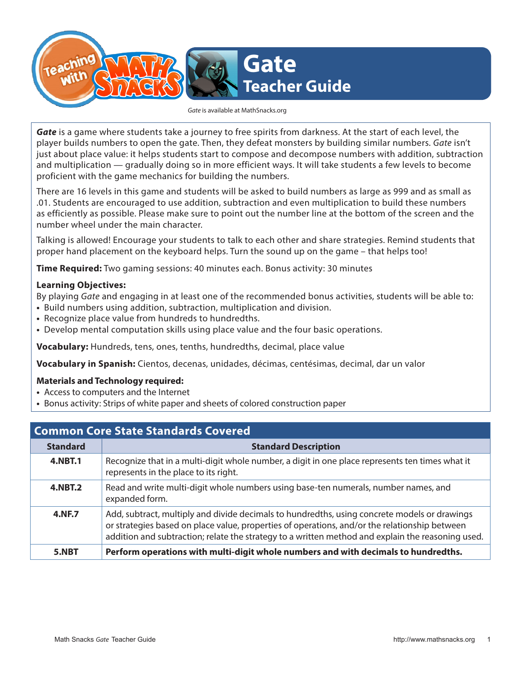

*Gate* is available at MathSnacks.org

*Gate* is a game where students take a journey to free spirits from darkness. At the start of each level, the player builds numbers to open the gate. Then, they defeat monsters by building similar numbers. *Gate* isn't just about place value: it helps students start to compose and decompose numbers with addition, subtraction and multiplication — gradually doing so in more efficient ways. It will take students a few levels to become proficient with the game mechanics for building the numbers.

There are 16 levels in this game and students will be asked to build numbers as large as 999 and as small as .01. Students are encouraged to use addition, subtraction and even multiplication to build these numbers as efficiently as possible. Please make sure to point out the number line at the bottom of the screen and the number wheel under the main character.

Talking is allowed! Encourage your students to talk to each other and share strategies. Remind students that proper hand placement on the keyboard helps. Turn the sound up on the game – that helps too!

**Time Required:** Two gaming sessions: 40 minutes each. Bonus activity: 30 minutes

#### **Learning Objectives:**

By playing *Gate* and engaging in at least one of the recommended bonus activities, students will be able to:

- **•** Build numbers using addition, subtraction, multiplication and division.
- **•** Recognize place value from hundreds to hundredths.
- **•** Develop mental computation skills using place value and the four basic operations.

**Vocabulary:** Hundreds, tens, ones, tenths, hundredths, decimal, place value

**Vocabulary in Spanish:** Cientos, decenas, unidades, décimas, centésimas, decimal, dar un valor

#### **Materials and Technology required:**

- **•** Access to computers and the Internet
- **•** Bonus activity: Strips of white paper and sheets of colored construction paper

| <b>Common Core State Standards Covered</b> |                                                                                                                                                                                                                                                                                                    |
|--------------------------------------------|----------------------------------------------------------------------------------------------------------------------------------------------------------------------------------------------------------------------------------------------------------------------------------------------------|
| <b>Standard</b>                            | <b>Standard Description</b>                                                                                                                                                                                                                                                                        |
| <b>4.NBT.1</b>                             | Recognize that in a multi-digit whole number, a digit in one place represents ten times what it<br>represents in the place to its right.                                                                                                                                                           |
| <b>4.NBT.2</b>                             | Read and write multi-digit whole numbers using base-ten numerals, number names, and<br>expanded form.                                                                                                                                                                                              |
| <b>4.NF.7</b>                              | Add, subtract, multiply and divide decimals to hundredths, using concrete models or drawings<br>or strategies based on place value, properties of operations, and/or the relationship between<br>addition and subtraction; relate the strategy to a written method and explain the reasoning used. |
| 5.NBT                                      | Perform operations with multi-digit whole numbers and with decimals to hundredths.                                                                                                                                                                                                                 |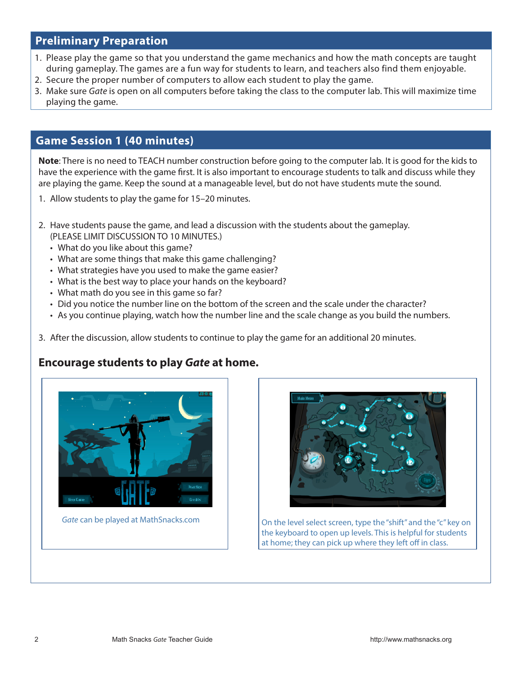## **Preliminary Preparation**

- 1. Please play the game so that you understand the game mechanics and how the math concepts are taught during gameplay. The games are a fun way for students to learn, and teachers also find them enjoyable.
- 2. Secure the proper number of computers to allow each student to play the game.
- 3. Make sure *Gate* is open on all computers before taking the class to the computer lab. This will maximize time playing the game.

### **Game Session 1 (40 minutes)**

**Note**: There is no need to TEACH number construction before going to the computer lab. It is good for the kids to have the experience with the game first. It is also important to encourage students to talk and discuss while they are playing the game. Keep the sound at a manageable level, but do not have students mute the sound.

- 1. Allow students to play the game for 15–20 minutes.
- 2. Have students pause the game, and lead a discussion with the students about the gameplay.
	- (PLEASE LIMIT DISCUSSION TO 10 MINUTES.)
	- What do you like about this game?
	- What are some things that make this game challenging?
	- What strategies have you used to make the game easier?
	- What is the best way to place your hands on the keyboard?
	- What math do you see in this game so far?
	- Did you notice the number line on the bottom of the screen and the scale under the character?
	- As you continue playing, watch how the number line and the scale change as you build the numbers.
- 3. After the discussion, allow students to continue to play the game for an additional 20 minutes.

## **Encourage students to play** *Gate* **at home.**





Gate can be played at MathSnacks.com **Canada Accord Con the level select screen**, type the "shift" and the "c" key on the keyboard to open up levels. This is helpful for students at home; they can pick up where they left off in class.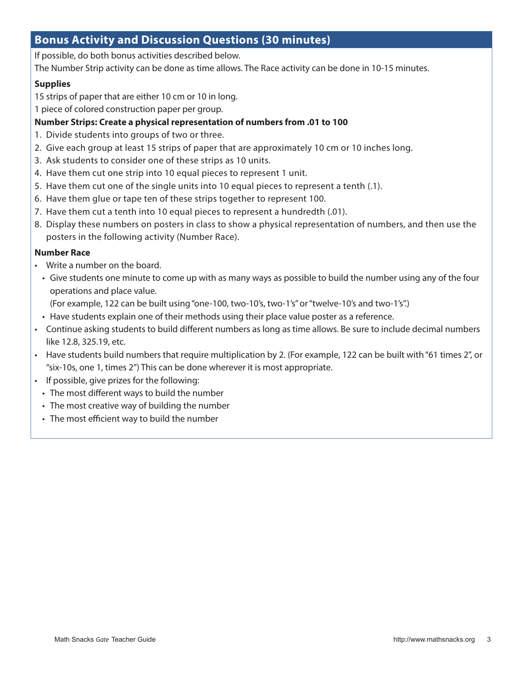### **Bonus Activity and Discussion Questions (30 minutes)**

If possible, do both bonus activities described below.

The Number Strip activity can be done as time allows. The Race activity can be done in 10-15 minutes.

#### **Supplies**

15 strips of paper that are either 10 cm or 10 in long.

1 piece of colored construction paper per group.

### **Number Strips: Create a physical representation of numbers from .01 to 100**

- 1. Divide students into groups of two or three.
- 2. Give each group at least 15 strips of paper that are approximately 10 cm or 10 inches long.
- 3. Ask students to consider one of these strips as 10 units.
- 4. Have them cut one strip into 10 equal pieces to represent 1 unit.
- 5. Have them cut one of the single units into 10 equal pieces to represent a tenth (.1).
- 6. Have them glue or tape ten of these strips together to represent 100.
- 7. Have them cut a tenth into 10 equal pieces to represent a hundredth (.01).
- 8. Display these numbers on posters in class to show a physical representation of numbers, and then use the posters in the following activity (Number Race).

#### **Number Race**

- Write a number on the board.
	- Give students one minute to come up with as many ways as possible to build the number using any of the four operations and place value.

(For example, 122 can be built using "one-100, two-10's, two-1's" or "twelve-10's and two-1's".)

- Have students explain one of their methods using their place value poster as a reference.
- Continue asking students to build different numbers as long as time allows. Be sure to include decimal numbers like 12.8, 325.19, etc.
- Have students build numbers that require multiplication by 2. (For example, 122 can be built with "61 times 2", or "six-10s, one 1, times 2") This can be done wherever it is most appropriate.
- If possible, give prizes for the following:
	- The most different ways to build the number
	- The most creative way of building the number
	- The most efficient way to build the number